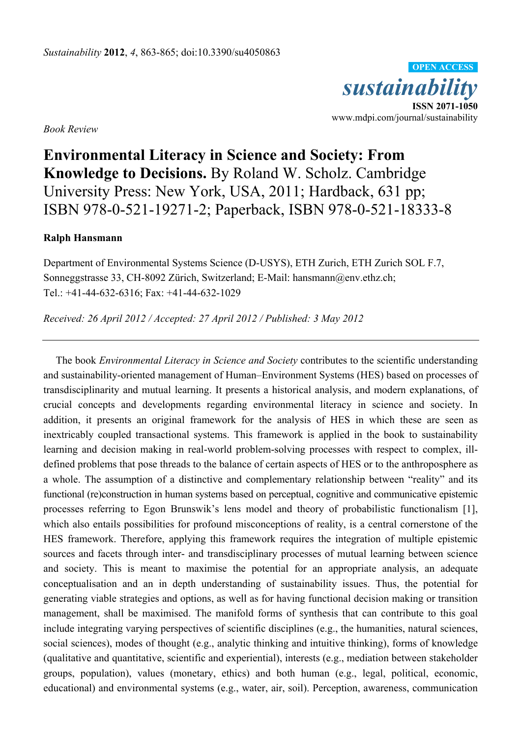

*Book Review* 

## **Environmental Literacy in Science and Society: From Knowledge to Decisions.** By Roland W. Scholz. Cambridge University Press: New York, USA, 2011; Hardback, 631 pp; ISBN 978-0-521-19271-2; Paperback, ISBN 978-0-521-18333-8

## **Ralph Hansmann**

Department of Environmental Systems Science (D-USYS), ETH Zurich, ETH Zurich SOL F.7, Sonneggstrasse 33, CH-8092 Zürich, Switzerland; E-Mail: hansmann@env.ethz.ch; Tel.: +41-44-632-6316; Fax: +41-44-632-1029

*Received: 26 April 2012 / Accepted: 27 April 2012 / Published: 3 May 2012* 

The book *Environmental Literacy in Science and Society* contributes to the scientific understanding and sustainability-oriented management of Human–Environment Systems (HES) based on processes of transdisciplinarity and mutual learning. It presents a historical analysis, and modern explanations, of crucial concepts and developments regarding environmental literacy in science and society. In addition, it presents an original framework for the analysis of HES in which these are seen as inextricably coupled transactional systems. This framework is applied in the book to sustainability learning and decision making in real-world problem-solving processes with respect to complex, illdefined problems that pose threads to the balance of certain aspects of HES or to the anthroposphere as a whole. The assumption of a distinctive and complementary relationship between "reality" and its functional (re)construction in human systems based on perceptual, cognitive and communicative epistemic processes referring to Egon Brunswik's lens model and theory of probabilistic functionalism [1], which also entails possibilities for profound misconceptions of reality, is a central cornerstone of the HES framework. Therefore, applying this framework requires the integration of multiple epistemic sources and facets through inter- and transdisciplinary processes of mutual learning between science and society. This is meant to maximise the potential for an appropriate analysis, an adequate conceptualisation and an in depth understanding of sustainability issues. Thus, the potential for generating viable strategies and options, as well as for having functional decision making or transition management, shall be maximised. The manifold forms of synthesis that can contribute to this goal include integrating varying perspectives of scientific disciplines (e.g., the humanities, natural sciences, social sciences), modes of thought (e.g., analytic thinking and intuitive thinking), forms of knowledge (qualitative and quantitative, scientific and experiential), interests (e.g., mediation between stakeholder groups, population), values (monetary, ethics) and both human (e.g., legal, political, economic, educational) and environmental systems (e.g., water, air, soil). Perception, awareness, communication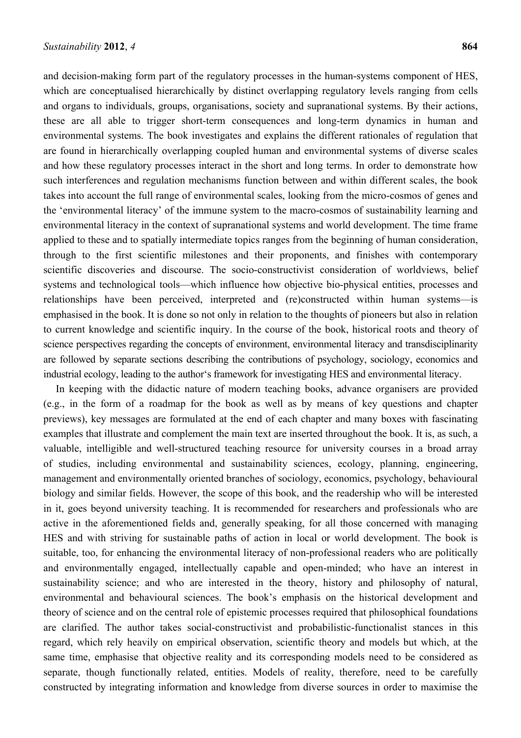and decision-making form part of the regulatory processes in the human-systems component of HES, which are conceptualised hierarchically by distinct overlapping regulatory levels ranging from cells and organs to individuals, groups, organisations, society and supranational systems. By their actions, these are all able to trigger short-term consequences and long-term dynamics in human and environmental systems. The book investigates and explains the different rationales of regulation that are found in hierarchically overlapping coupled human and environmental systems of diverse scales and how these regulatory processes interact in the short and long terms. In order to demonstrate how such interferences and regulation mechanisms function between and within different scales, the book takes into account the full range of environmental scales, looking from the micro-cosmos of genes and the 'environmental literacy' of the immune system to the macro-cosmos of sustainability learning and environmental literacy in the context of supranational systems and world development. The time frame applied to these and to spatially intermediate topics ranges from the beginning of human consideration, through to the first scientific milestones and their proponents, and finishes with contemporary scientific discoveries and discourse. The socio-constructivist consideration of worldviews, belief systems and technological tools—which influence how objective bio-physical entities, processes and relationships have been perceived, interpreted and (re)constructed within human systems—is emphasised in the book. It is done so not only in relation to the thoughts of pioneers but also in relation to current knowledge and scientific inquiry. In the course of the book, historical roots and theory of science perspectives regarding the concepts of environment, environmental literacy and transdisciplinarity are followed by separate sections describing the contributions of psychology, sociology, economics and industrial ecology, leading to the author's framework for investigating HES and environmental literacy.

In keeping with the didactic nature of modern teaching books, advance organisers are provided (e.g., in the form of a roadmap for the book as well as by means of key questions and chapter previews), key messages are formulated at the end of each chapter and many boxes with fascinating examples that illustrate and complement the main text are inserted throughout the book. It is, as such, a valuable, intelligible and well-structured teaching resource for university courses in a broad array of studies, including environmental and sustainability sciences, ecology, planning, engineering, management and environmentally oriented branches of sociology, economics, psychology, behavioural biology and similar fields. However, the scope of this book, and the readership who will be interested in it, goes beyond university teaching. It is recommended for researchers and professionals who are active in the aforementioned fields and, generally speaking, for all those concerned with managing HES and with striving for sustainable paths of action in local or world development. The book is suitable, too, for enhancing the environmental literacy of non-professional readers who are politically and environmentally engaged, intellectually capable and open-minded; who have an interest in sustainability science; and who are interested in the theory, history and philosophy of natural, environmental and behavioural sciences. The book's emphasis on the historical development and theory of science and on the central role of epistemic processes required that philosophical foundations are clarified. The author takes social-constructivist and probabilistic-functionalist stances in this regard, which rely heavily on empirical observation, scientific theory and models but which, at the same time, emphasise that objective reality and its corresponding models need to be considered as separate, though functionally related, entities. Models of reality, therefore, need to be carefully constructed by integrating information and knowledge from diverse sources in order to maximise the